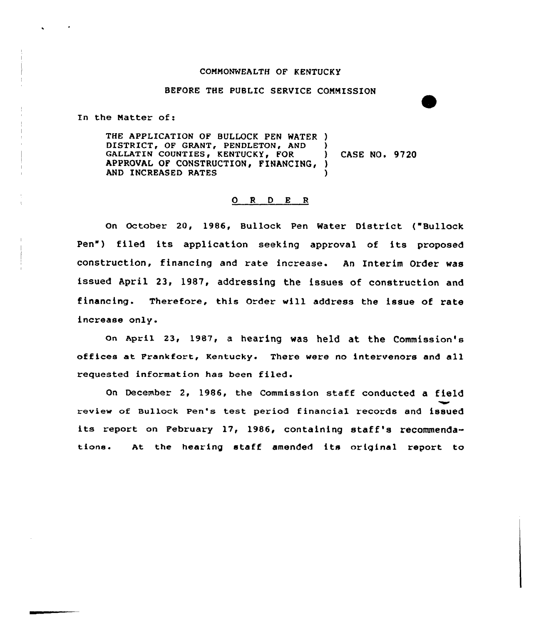## COMMONWEALTH OF KENTUCKY

## BEFORE THE PUBLIC SERVICE COMMISSION

In the Matter of:

THE APPLICATION OF BULLOCK PEN WATER ) DISTRICT, OF GRANT, PENDLETON, AND )<br>GALLATIN COUNTIES, KENTUCKY, FOR ) GALLATIN COUNTIES, KENTUCKY, FOR ) CASE NO. 9720 APPROVAL OF CONSTRUCTION, FINANCING, ) AND INCREASED RATES

## 0 <sup>R</sup> <sup>D</sup> E <sup>R</sup>

On October 20, 19&6, Bullock Pen Water District ( Bullock Pen") filed its application seeking approval of its proposed construction, financing and rate increase. An Interim Order was issued April 23, 1987, addressing the issues of construction and financing. Therefore, this Order will address the issue of rate increase only.

on April 23, 1987, a hearing was held at the Commission's offices at Frankfort, Kentucky. There were no intervenors and all requested information has been filed.

On December 2, 1986, the Commission staff conducted a field review of Bullock Pen's test period financial records and issued its report on February 17, 1986, containing staff's recommendatione. At the hearing staff amended its original report to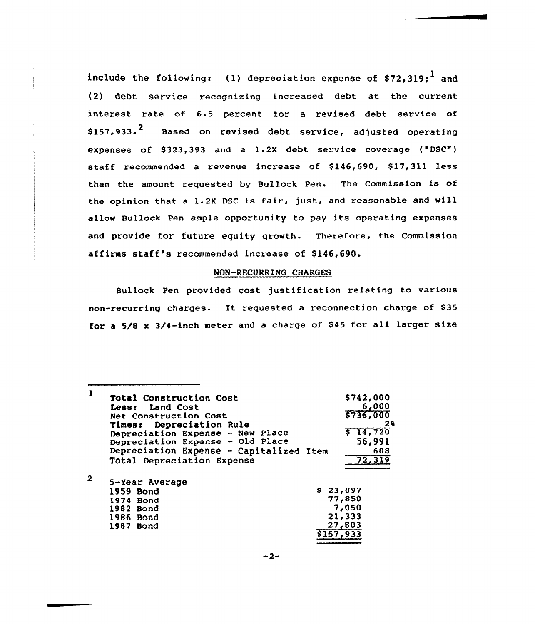include the following: (1) depreciation expense of  $$72,319;$ <sup>1</sup> and (2) debt service recognizing increased debt at the current interest rate of 6.5 percent for a revised debt service of  $$157,933.^2$  Based on revised debt service, adjusted operating expenses of \$323,393 and a 1.2X debt service coverage ("DSC") staff recommended a revenue increase of \$146,690, \$17,311 less than the amount requested by Bullock Pen. The Commission is of the opinion that <sup>a</sup> 1.2X DSC is fair, just, and reasonable and will allow Bullock Pen ample opportunity to pay its operating expenses and provide for future equity growth. Therefore, the Commission affirms staff's recommended increase of \$146,690.

# NON-RECURRING CHARGES

Bullock Pen provided cost justification relating to various non-recurring charges. It requested a reconnection charge of \$35 for a 5/8 x 3/4-inch meter and a charge of \$45 for all larger size

|              | Total Construction Cost                 |           | \$742,000 |
|--------------|-----------------------------------------|-----------|-----------|
|              | Land Cost<br>Less:                      |           | 6,000     |
|              | Net Construction Cost                   |           | \$736,000 |
|              | Times: Depreciation Rule                |           | 28        |
|              | Depreciation Expense - New Place        |           | \$14,720  |
|              | Depreciation Expense - Old Place        |           | 56,991    |
|              | Depreciation Expense - Capitalized Item |           | 608       |
|              | Total Depreciation Expense              |           | 72,319    |
| $\mathbf{2}$ | 5-Year Average                          |           |           |
|              | 1959 Bond                               | \$23,897  |           |
|              |                                         |           | 77,850    |
|              | 1974 Bond<br>1982 Bond                  |           | 7,050     |
|              | 1986 Bond                               |           | 21,333    |
|              |                                         |           | 27,803    |
|              | 1987 Bond                               | \$157,933 |           |
|              |                                         |           |           |

 $-2-$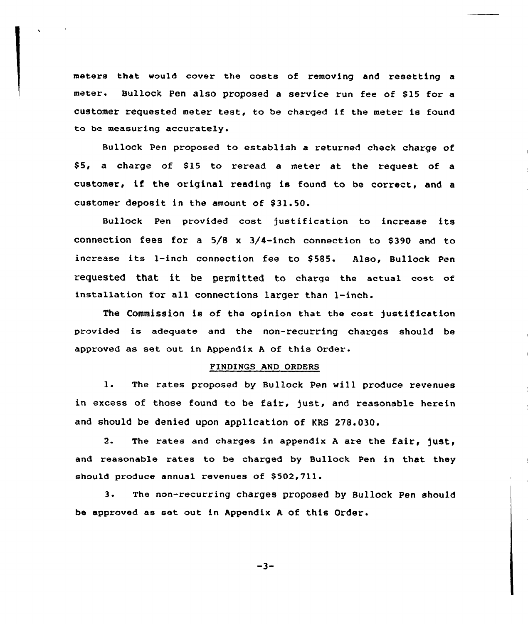meters that would cover the costs of removing and resetting a meter. Bullock Pen also proposed a service run fee of \$15 for a customer requested meter test, to be charged if the meter is found to be measuring accurately

Bullock Pen proposed to establish a returned check charge of \$5, a charge of \$15 to reread a meter at the request of a customer, if the original reading is found to be correct, and <sup>a</sup> customer deposit in the amount of \$31.50.

Bullock Pen provided cost justification to increase its connection fees for a  $5/8 \times 3/4$ -inch connection to \$390 and to increase its 1-inch connection fee to \$585. Also, Bullock Pen requested that it be permitted to charge the actual cost of installation for all connections larger than l-inch.

The Commission is of the opinion that the cost justification provided is adequate and the non-recurring charges should be approved as set out in Appendix <sup>A</sup> of this Order.

#### FINDINGS AND ORDERS

1. The rates proposed by Bullock Pen vill produce revenues in excess of those found to be fair, just, and reasonable herein and should be denied upon application of KRS 278.030.

2. The rates and charges in appendix A are the fair, just, and reasonable rates to be charged by Bullock Pen in that they should produce annual revenues of \$502,711.

3. The non-recurring charges proposed by Bullock Pen should be approved as set out in Appendix <sup>A</sup> of this Order.

 $-3-$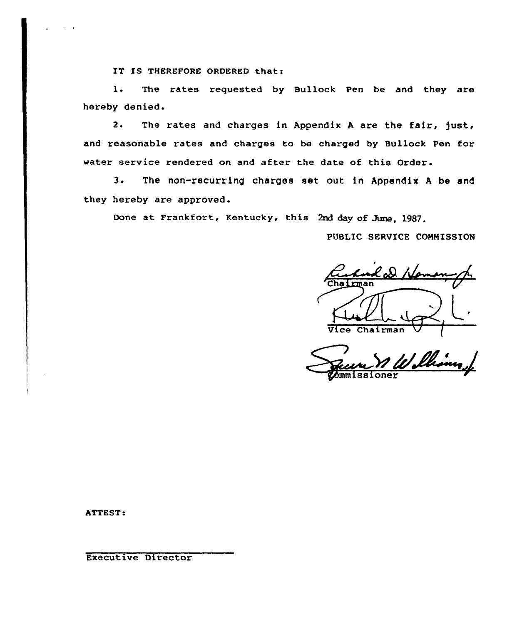IT IS THEREFORE ORDERED that:

l. The rates requested by Bullock Pen be and they are hereby denied.

2. The rates and charges in Appendix <sup>A</sup> are the fair, )ust, and reasonable rates and charges to be charged by Bullock Pen for water service rendered on and after the date of this Order.

3. The non-recurring charges set out in Appendix <sup>A</sup> be and they hereby are approved.

Done at Frankfort, Kentucky, this 2nd day of June, 1987.

PUBLIC SERVICE COMMISSION

PUBLIC SERVICE  $\nabla$ Vice Chairman

William  $\overline{\mathsf{oner}}$ 

ATTEST:

Executive Director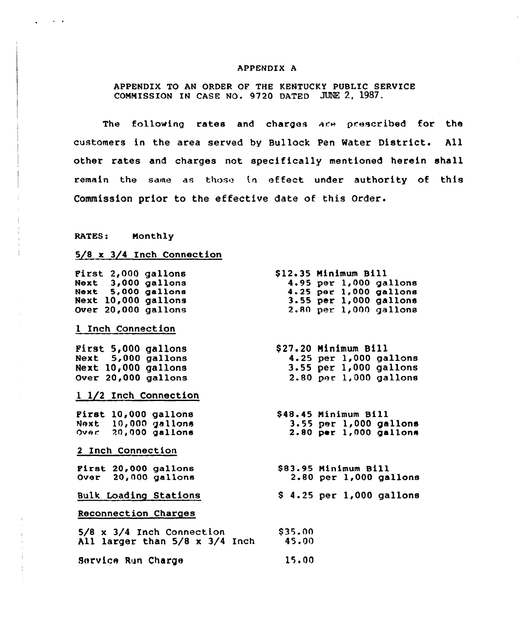## APPENDIX A

APPENDIX TO AN ORDER OF THE KENTUCKY PUBLIC SERVICE COMMISSION IN CASE NO. 9720 DATED JUNE 2, 1987.

The following rates and charges are prescribed for the customers in the area served by Bullock Pen Water District. All other rates and charges not specifically mentioned herein shall remain the same as those in effect under authority of this Commission prior to the effective date of this Order.

# RATES: Monthly

 $\sim$   $\sim$ 

# $5/8$  x  $3/4$  Inch Connection

| First 2,000 gallons<br>Next 3,000 gallons<br>Next 5,000 gallons<br>Next 10,000 gallons<br>Over 20,000 gallons<br>1 Inch Connection |       | \$12.35 Minimum Bill<br>4.95 per 1,000 gallons<br>4.25 per 1,000 gallons<br>3.55 per 1,000 gallons<br>2.80 per 1,000 gallons |
|------------------------------------------------------------------------------------------------------------------------------------|-------|------------------------------------------------------------------------------------------------------------------------------|
|                                                                                                                                    |       |                                                                                                                              |
| First 5,000 gallons                                                                                                                |       | \$27.20 Minimum Bill                                                                                                         |
| Next 5,000 gallons                                                                                                                 |       | 4.25 per 1,000 gallons                                                                                                       |
| Next 10,000 gallons                                                                                                                |       | $3.55$ per $1,000$ gallons                                                                                                   |
| Over 20,000 gallons                                                                                                                |       | 2.80 per 1,000 gallons                                                                                                       |
| 1 1/2 Inch Connection                                                                                                              |       |                                                                                                                              |
| First 10,000 gallons                                                                                                               |       | \$48.45 Minimum Bill                                                                                                         |
| Next 10,000 gallons                                                                                                                |       | 3.55 per 1,000 gallons                                                                                                       |
| Over 20,000 gallons                                                                                                                |       | 2.80 per 1,000 gallons                                                                                                       |
| 2 Inch Connection                                                                                                                  |       |                                                                                                                              |
| Pirst 20,000 gallons                                                                                                               |       | \$83.95 Minimum Bill                                                                                                         |
| Over 20,000 gallons                                                                                                                |       | $2.80$ per $1,000$ gallons                                                                                                   |
| Bulk Loading Stations                                                                                                              |       | $$4.25$ per $1,000$ gallons                                                                                                  |
| Reconnection Charges                                                                                                               |       |                                                                                                                              |
| $5/8$ x $3/4$ Inch Connection $$35.00$                                                                                             |       |                                                                                                                              |
| All larger than $5/8 \times 3/4$ Inch $45.00$                                                                                      |       |                                                                                                                              |
| Service Run Charge                                                                                                                 | 15.00 |                                                                                                                              |